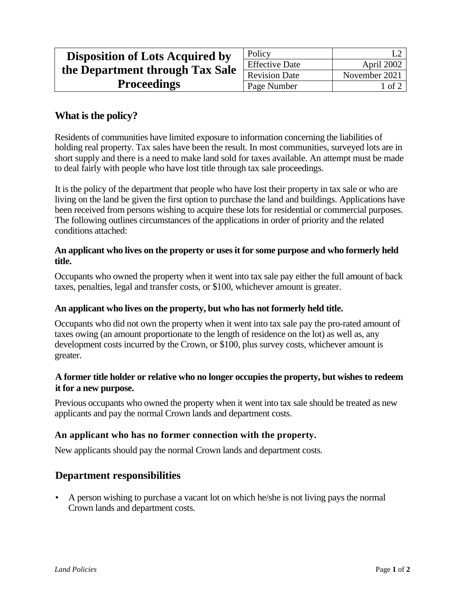| <b>Disposition of Lots Acquired by</b> | Policy                |               |
|----------------------------------------|-----------------------|---------------|
| the Department through Tax Sale        | <b>Effective Date</b> | April 2002    |
|                                        | <b>Revision Date</b>  | November 2021 |
| <b>Proceedings</b>                     | Page Number           | l of 2        |

# **What is the policy?**

Residents of communities have limited exposure to information concerning the liabilities of holding real property. Tax sales have been the result. In most communities, surveyed lots are in short supply and there is a need to make land sold for taxes available. An attempt must be made to deal fairly with people who have lost title through tax sale proceedings.

It is the policy of the department that people who have lost their property in tax sale or who are living on the land be given the first option to purchase the land and buildings. Applications have been received from persons wishing to acquire these lots for residential or commercial purposes. The following outlines circumstances of the applications in order of priority and the related conditions attached:

#### **An applicant who lives on the property or uses it for some purpose and who formerly held title.**

Occupants who owned the property when it went into tax sale pay either the full amount of back taxes, penalties, legal and transfer costs, or \$100, whichever amount is greater.

## **An applicant who lives on the property, but who has not formerly held title.**

Occupants who did not own the property when it went into tax sale pay the pro-rated amount of taxes owing (an amount proportionate to the length of residence on the lot) as well as, any development costs incurred by the Crown, or \$100, plus survey costs, whichever amount is greater.

#### **A former title holder or relative who no longer occupies the property, but wishes to redeem it for a new purpose.**

Previous occupants who owned the property when it went into tax sale should be treated as new applicants and pay the normal Crown lands and department costs.

## **An applicant who has no former connection with the property.**

New applicants should pay the normal Crown lands and department costs.

## **Department responsibilities**

• A person wishing to purchase a vacant lot on which he/she is not living pays the normal Crown lands and department costs.